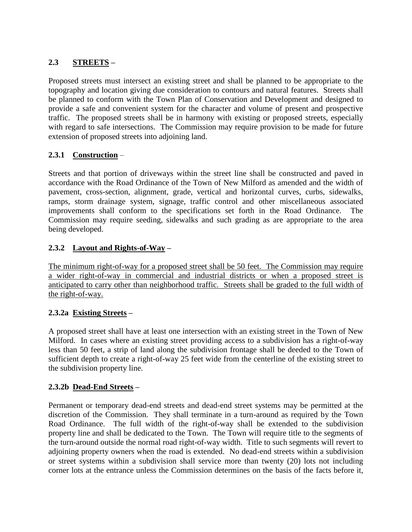# **2.3 STREETS –**

Proposed streets must intersect an existing street and shall be planned to be appropriate to the topography and location giving due consideration to contours and natural features. Streets shall be planned to conform with the Town Plan of Conservation and Development and designed to provide a safe and convenient system for the character and volume of present and prospective traffic. The proposed streets shall be in harmony with existing or proposed streets, especially with regard to safe intersections. The Commission may require provision to be made for future extension of proposed streets into adjoining land.

## **2.3.1 Construction** –

Streets and that portion of driveways within the street line shall be constructed and paved in accordance with the Road Ordinance of the Town of New Milford as amended and the width of pavement, cross-section, alignment, grade, vertical and horizontal curves, curbs, sidewalks, ramps, storm drainage system, signage, traffic control and other miscellaneous associated improvements shall conform to the specifications set forth in the Road Ordinance. The Commission may require seeding, sidewalks and such grading as are appropriate to the area being developed.

## **2.3.2 Layout and Rights-of-Way –**

The minimum right-of-way for a proposed street shall be 50 feet. The Commission may require a wider right-of-way in commercial and industrial districts or when a proposed street is anticipated to carry other than neighborhood traffic. Streets shall be graded to the full width of the right-of-way.

#### **2.3.2a Existing Streets –**

A proposed street shall have at least one intersection with an existing street in the Town of New Milford. In cases where an existing street providing access to a subdivision has a right-of-way less than 50 feet, a strip of land along the subdivision frontage shall be deeded to the Town of sufficient depth to create a right-of-way 25 feet wide from the centerline of the existing street to the subdivision property line.

#### **2.3.2b Dead-End Streets –**

Permanent or temporary dead-end streets and dead-end street systems may be permitted at the discretion of the Commission. They shall terminate in a turn-around as required by the Town Road Ordinance. The full width of the right-of-way shall be extended to the subdivision property line and shall be dedicated to the Town. The Town will require title to the segments of the turn-around outside the normal road right-of-way width. Title to such segments will revert to adjoining property owners when the road is extended. No dead-end streets within a subdivision or street systems within a subdivision shall service more than twenty (20) lots not including corner lots at the entrance unless the Commission determines on the basis of the facts before it,